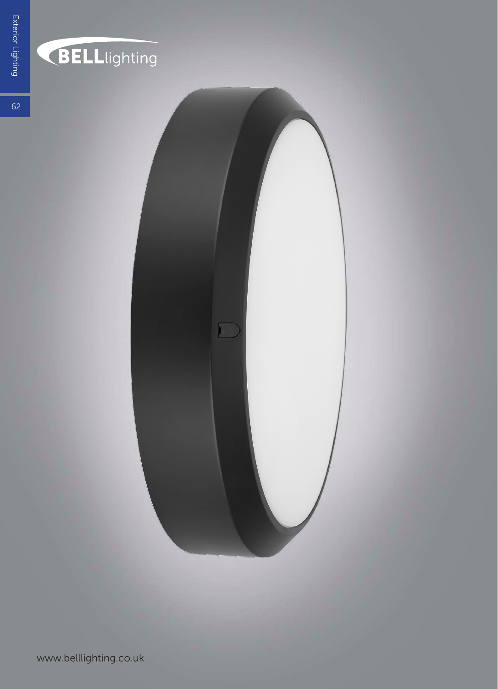

## BELLlighting

 $62$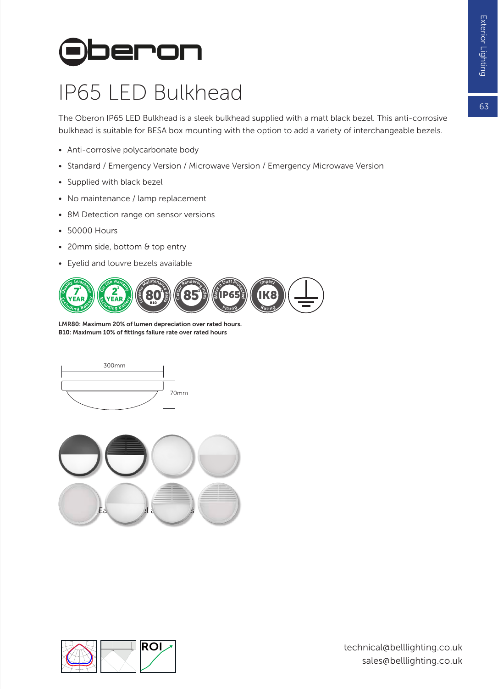## **Oberon**

## IP65 LED Bulkhead

The Oberon IP65 LED Bulkhead is a sleek bulkhead supplied with a matt black bezel. This anti-corrosive bulkhead is suitable for BESA box mounting with the option to add a variety of interchangeable bezels.

- Anti-corrosive polycarbonate body
- Standard / Emergency Version / Microwave Version / Emergency Microwave Version
- Supplied with black bezel
- No maintenance / lamp replacement
- 8M Detection range on sensor versions
- 50000 Hours
- 20mm side, bottom & top entry
- Eyelid and louvre bezels available



LMR80: Maximum 20% of lumen depreciation over rated hours. B10: Maximum 10% of fittings failure rate over rated hours





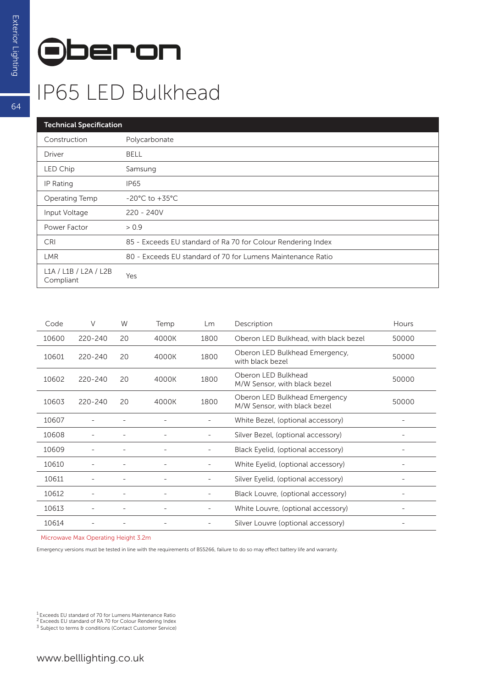

## IP65 LED Bulkhead

| <b>Technical Specification</b>     |                                                              |  |  |  |  |  |
|------------------------------------|--------------------------------------------------------------|--|--|--|--|--|
| Construction                       | Polycarbonate                                                |  |  |  |  |  |
| Driver                             | <b>BELL</b>                                                  |  |  |  |  |  |
| LED Chip                           | Samsung                                                      |  |  |  |  |  |
| IP Rating                          | <b>IP65</b>                                                  |  |  |  |  |  |
| Operating Temp                     | $-20^{\circ}$ C to $+35^{\circ}$ C                           |  |  |  |  |  |
| Input Voltage                      | $220 - 240V$                                                 |  |  |  |  |  |
| Power Factor                       | > 0.9                                                        |  |  |  |  |  |
| CRI                                | 85 - Exceeds EU standard of Ra 70 for Colour Rendering Index |  |  |  |  |  |
| <b>LMR</b>                         | 80 - Exceeds EU standard of 70 for Lumens Maintenance Ratio  |  |  |  |  |  |
| L1A / L1B / L2A / L2B<br>Compliant | Yes                                                          |  |  |  |  |  |

| Code  | V           | W  | Temp  | Lm                       | Description                                                   | Hours |
|-------|-------------|----|-------|--------------------------|---------------------------------------------------------------|-------|
| 10600 | 220-240     | 20 | 4000K | 1800                     | Oberon LED Bulkhead, with black bezel                         | 50000 |
| 10601 | $220 - 240$ | 20 | 4000K | 1800                     | Oberon LED Bulkhead Emergency,<br>with black bezel            | 50000 |
| 10602 | $220 - 240$ | 20 | 4000K | 1800                     | Oberon LED Bulkhead<br>M/W Sensor, with black bezel           | 50000 |
| 10603 | 220-240     | 20 | 4000K | 1800                     | Oberon LED Bulkhead Emergency<br>M/W Sensor, with black bezel | 50000 |
| 10607 |             |    |       |                          | White Bezel, (optional accessory)                             |       |
| 10608 |             |    |       |                          | Silver Bezel, (optional accessory)                            |       |
| 10609 |             |    |       |                          | Black Eyelid, (optional accessory)                            |       |
| 10610 |             |    |       |                          | White Eyelid, (optional accessory)                            |       |
| 10611 |             |    |       |                          | Silver Eyelid, (optional accessory)                           |       |
| 10612 |             |    |       | -                        | Black Louvre, (optional accessory)                            |       |
| 10613 |             |    |       | $\overline{\phantom{a}}$ | White Louvre, (optional accessory)                            | -     |
| 10614 |             |    |       |                          | Silver Louvre (optional accessory)                            | ۰     |

Microwave Max Operating Height 3.2m

Emergency versions must be tested in line with the requirements of BS5266, failure to do so may effect battery life and warranty.

64

<sup>&</sup>lt;sup>1</sup> Exceeds EU standard of 70 for Lumens Maintenance Ratio<br><sup>2</sup> Exceeds EU standard of RA 70 for Colour Rendering Index<br><sup>3</sup> Subject to terms & conditions (Contact Customer Service)